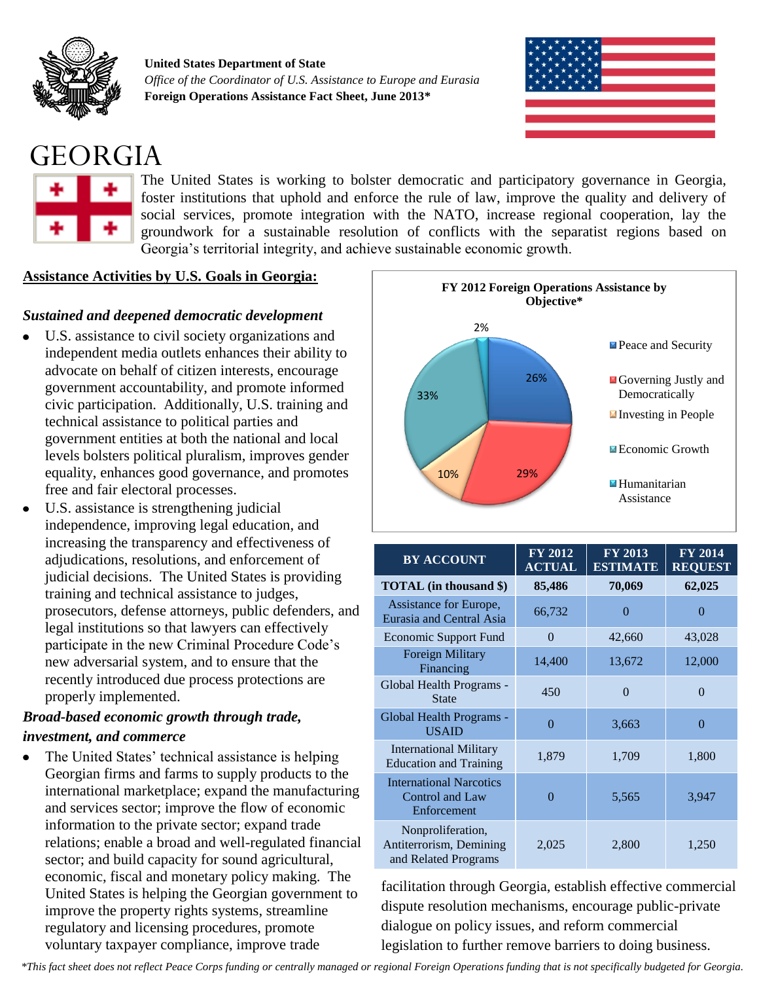

**United States Department of State** *Office of the Coordinator of U.S. Assistance to Europe and Eurasia* **Foreign Operations Assistance Fact Sheet, June 2013\***



## GEORGIA



The United States is working to bolster democratic and participatory governance in Georgia, foster institutions that uphold and enforce the rule of law, improve the quality and delivery of social services, promote integration with the NATO, increase regional cooperation, lay the groundwork for a sustainable resolution of conflicts with the separatist regions based on Georgia's territorial integrity, and achieve sustainable economic growth.

### **Assistance Activities by U.S. Goals in Georgia:**

### *Sustained and deepened democratic development*

- U.S. assistance to civil society organizations and independent media outlets enhances their ability to advocate on behalf of citizen interests, encourage government accountability, and promote informed civic participation. Additionally, U.S. training and technical assistance to political parties and government entities at both the national and local levels bolsters political pluralism, improves gender equality, enhances good governance, and promotes free and fair electoral processes.
- U.S. assistance is strengthening judicial independence, improving legal education, and increasing the transparency and effectiveness of adjudications, resolutions, and enforcement of judicial decisions. The United States is providing training and technical assistance to judges, prosecutors, defense attorneys, public defenders, and legal institutions so that lawyers can effectively participate in the new Criminal Procedure Code's new adversarial system, and to ensure that the recently introduced due process protections are properly implemented.

### *Broad-based economic growth through trade, investment, and commerce*

The United States' technical assistance is helping Georgian firms and farms to supply products to the international marketplace; expand the manufacturing and services sector; improve the flow of economic information to the private sector; expand trade relations; enable a broad and well-regulated financial sector; and build capacity for sound agricultural, economic, fiscal and monetary policy making. The United States is helping the Georgian government to improve the property rights systems, streamline regulatory and licensing procedures, promote voluntary taxpayer compliance, improve trade



| <b>BY ACCOUNT</b>                                                    | <b>FY 2012</b><br><b>ACTUAL</b> | <b>FY 2013</b><br><b>ESTIMATE</b> | <b>FY 2014</b><br><b>REQUEST</b> |
|----------------------------------------------------------------------|---------------------------------|-----------------------------------|----------------------------------|
| <b>TOTAL</b> (in thousand \$)                                        | 85,486                          | 70,069                            | 62,025                           |
| Assistance for Europe,<br>Eurasia and Central Asia                   | 66,732                          | 0                                 | 0                                |
| <b>Economic Support Fund</b>                                         | 0                               | 42,660                            | 43,028                           |
| <b>Foreign Military</b><br>Financing                                 | 14,400                          | 13,672                            | 12,000                           |
| Global Health Programs -<br><b>State</b>                             | 450                             | $\Omega$                          | 0                                |
| Global Health Programs -<br><b>USAID</b>                             | $\Omega$                        | 3,663                             | $\Omega$                         |
| <b>International Military</b><br><b>Education and Training</b>       | 1,879                           | 1,709                             | 1,800                            |
| <b>International Narcotics</b><br>Control and Law<br>Enforcement     | $\Omega$                        | 5,565                             | 3,947                            |
| Nonproliferation,<br>Antiterrorism, Demining<br>and Related Programs | 2,025                           | 2,800                             | 1,250                            |

facilitation through Georgia, establish effective commercial dispute resolution mechanisms, encourage public-private dialogue on policy issues, and reform commercial legislation to further remove barriers to doing business.

*\*This fact sheet does not reflect Peace Corps funding or centrally managed or regional Foreign Operations funding that is not specifically budgeted for Georgia.*